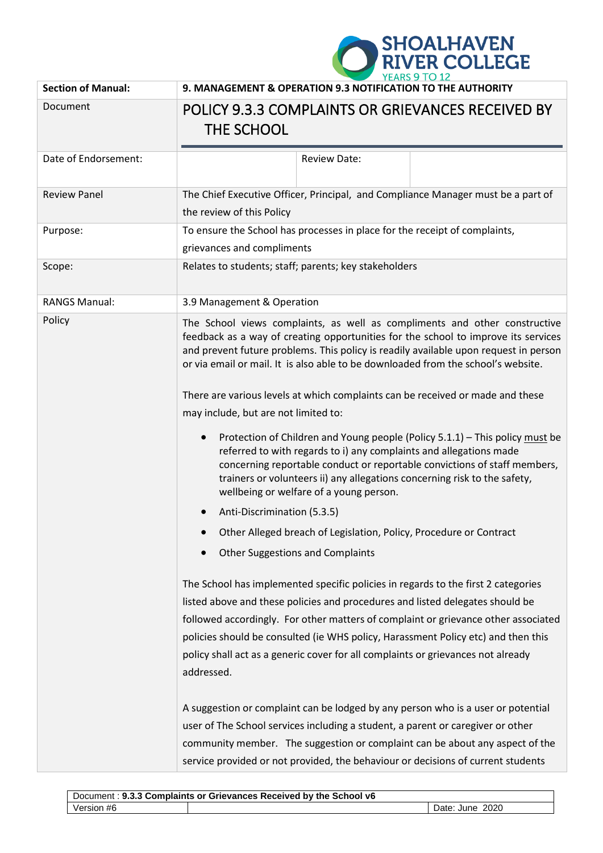

| <b>Section of Manual:</b> | 9. MANAGEMENT & OPERATION 9.3 NOTIFICATION TO THE AUTHORITY                                                                                                                                                                                                                                                                                                                                                                                                             |  |  |
|---------------------------|-------------------------------------------------------------------------------------------------------------------------------------------------------------------------------------------------------------------------------------------------------------------------------------------------------------------------------------------------------------------------------------------------------------------------------------------------------------------------|--|--|
| Document                  | POLICY 9.3.3 COMPLAINTS OR GRIEVANCES RECEIVED BY<br>THE SCHOOL                                                                                                                                                                                                                                                                                                                                                                                                         |  |  |
| Date of Endorsement:      | <b>Review Date:</b>                                                                                                                                                                                                                                                                                                                                                                                                                                                     |  |  |
| <b>Review Panel</b>       | The Chief Executive Officer, Principal, and Compliance Manager must be a part of<br>the review of this Policy                                                                                                                                                                                                                                                                                                                                                           |  |  |
| Purpose:                  | To ensure the School has processes in place for the receipt of complaints,<br>grievances and compliments                                                                                                                                                                                                                                                                                                                                                                |  |  |
| Scope:                    | Relates to students; staff; parents; key stakeholders                                                                                                                                                                                                                                                                                                                                                                                                                   |  |  |
| <b>RANGS Manual:</b>      | 3.9 Management & Operation                                                                                                                                                                                                                                                                                                                                                                                                                                              |  |  |
| Policy                    | The School views complaints, as well as compliments and other constructive<br>feedback as a way of creating opportunities for the school to improve its services<br>and prevent future problems. This policy is readily available upon request in person<br>or via email or mail. It is also able to be downloaded from the school's website.<br>There are various levels at which complaints can be received or made and these<br>may include, but are not limited to: |  |  |
|                           | Protection of Children and Young people (Policy 5.1.1) - This policy must be<br>referred to with regards to i) any complaints and allegations made<br>concerning reportable conduct or reportable convictions of staff members,<br>trainers or volunteers ii) any allegations concerning risk to the safety,<br>wellbeing or welfare of a young person.                                                                                                                 |  |  |
|                           | Anti-Discrimination (5.3.5)                                                                                                                                                                                                                                                                                                                                                                                                                                             |  |  |
|                           | Other Alleged breach of Legislation, Policy, Procedure or Contract                                                                                                                                                                                                                                                                                                                                                                                                      |  |  |
|                           | Other Suggestions and Complaints                                                                                                                                                                                                                                                                                                                                                                                                                                        |  |  |
|                           | The School has implemented specific policies in regards to the first 2 categories<br>listed above and these policies and procedures and listed delegates should be<br>followed accordingly. For other matters of complaint or grievance other associated<br>policies should be consulted (ie WHS policy, Harassment Policy etc) and then this<br>policy shall act as a generic cover for all complaints or grievances not already<br>addressed.                         |  |  |
|                           | A suggestion or complaint can be lodged by any person who is a user or potential<br>user of The School services including a student, a parent or caregiver or other<br>community member. The suggestion or complaint can be about any aspect of the<br>service provided or not provided, the behaviour or decisions of current students                                                                                                                                 |  |  |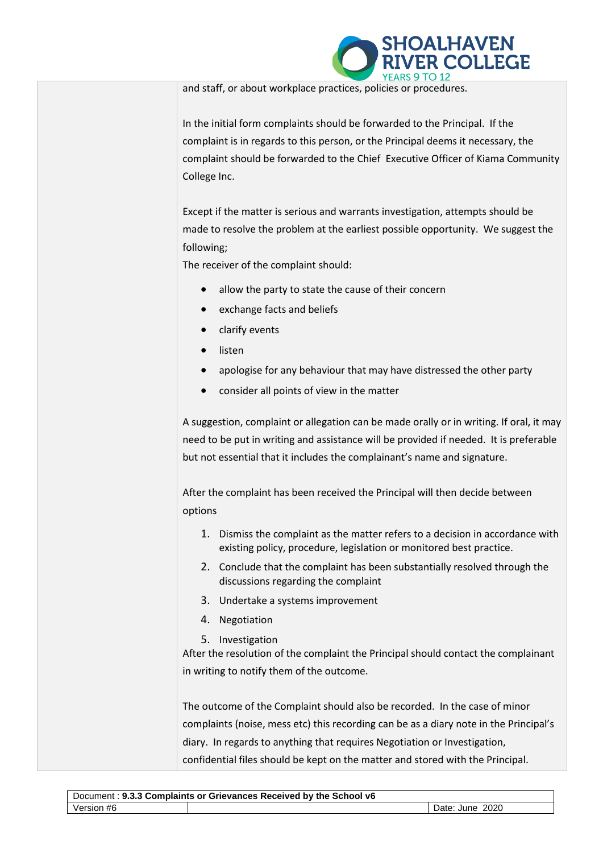

and staff, or about workplace practices, policies or procedures.

In the initial form complaints should be forwarded to the Principal. If the complaint is in regards to this person, or the Principal deems it necessary, the complaint should be forwarded to the Chief Executive Officer of Kiama Community College Inc.

Except if the matter is serious and warrants investigation, attempts should be made to resolve the problem at the earliest possible opportunity. We suggest the following;

The receiver of the complaint should:

- allow the party to state the cause of their concern
- exchange facts and beliefs
- clarify events
- listen
- apologise for any behaviour that may have distressed the other party
- consider all points of view in the matter

A suggestion, complaint or allegation can be made orally or in writing. If oral, it may need to be put in writing and assistance will be provided if needed. It is preferable but not essential that it includes the complainant's name and signature.

After the complaint has been received the Principal will then decide between options

- 1. Dismiss the complaint as the matter refers to a decision in accordance with existing policy, procedure, legislation or monitored best practice.
- 2. Conclude that the complaint has been substantially resolved through the discussions regarding the complaint
- 3. Undertake a systems improvement
- 4. Negotiation
- 5. Investigation

After the resolution of the complaint the Principal should contact the complainant in writing to notify them of the outcome.

The outcome of the Complaint should also be recorded. In the case of minor complaints (noise, mess etc) this recording can be as a diary note in the Principal's diary. In regards to anything that requires Negotiation or Investigation, confidential files should be kept on the matter and stored with the Principal.

| Document: 9.3.3 Complaints or Grievances Received by the School v6 |  |                 |  |  |
|--------------------------------------------------------------------|--|-----------------|--|--|
| Version #6                                                         |  | Date: June 2020 |  |  |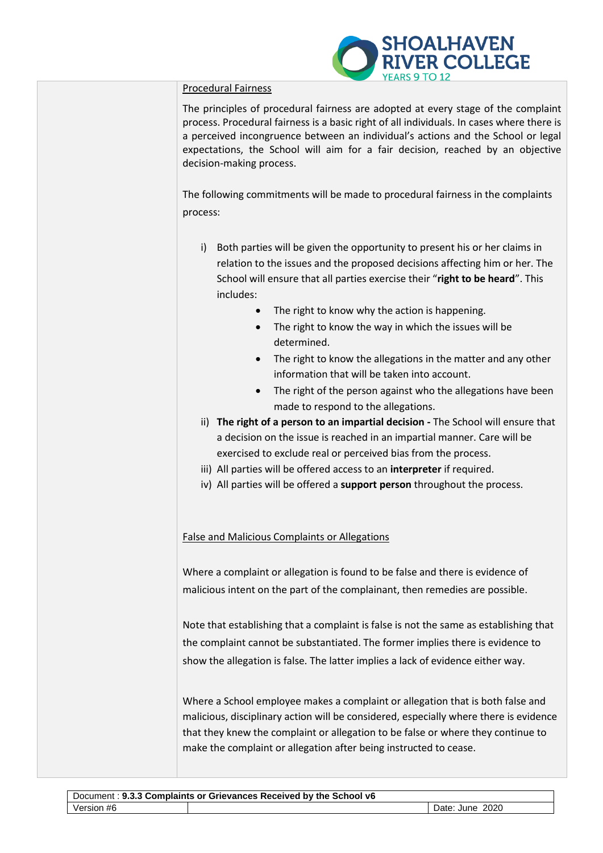

## Procedural Fairness

The principles of procedural fairness are adopted at every stage of the complaint process. Procedural fairness is a basic right of all individuals. In cases where there is a perceived incongruence between an individual's actions and the School or legal expectations, the School will aim for a fair decision, reached by an objective decision-making process.

The following commitments will be made to procedural fairness in the complaints process:

- i) Both parties will be given the opportunity to present his or her claims in relation to the issues and the proposed decisions affecting him or her. The School will ensure that all parties exercise their "**right to be heard**". This includes:
	- The right to know why the action is happening.
	- The right to know the way in which the issues will be determined.
	- The right to know the allegations in the matter and any other information that will be taken into account.
	- The right of the person against who the allegations have been made to respond to the allegations.
- ii) **The right of a person to an impartial decision -** The School will ensure that a decision on the issue is reached in an impartial manner. Care will be exercised to exclude real or perceived bias from the process.
- iii) All parties will be offered access to an **interpreter** if required.
- iv) All parties will be offered a **support person** throughout the process.

False and Malicious Complaints or Allegations

Where a complaint or allegation is found to be false and there is evidence of malicious intent on the part of the complainant, then remedies are possible.

Note that establishing that a complaint is false is not the same as establishing that the complaint cannot be substantiated. The former implies there is evidence to show the allegation is false. The latter implies a lack of evidence either way.

Where a School employee makes a complaint or allegation that is both false and malicious, disciplinary action will be considered, especially where there is evidence that they knew the complaint or allegation to be false or where they continue to make the complaint or allegation after being instructed to cease.